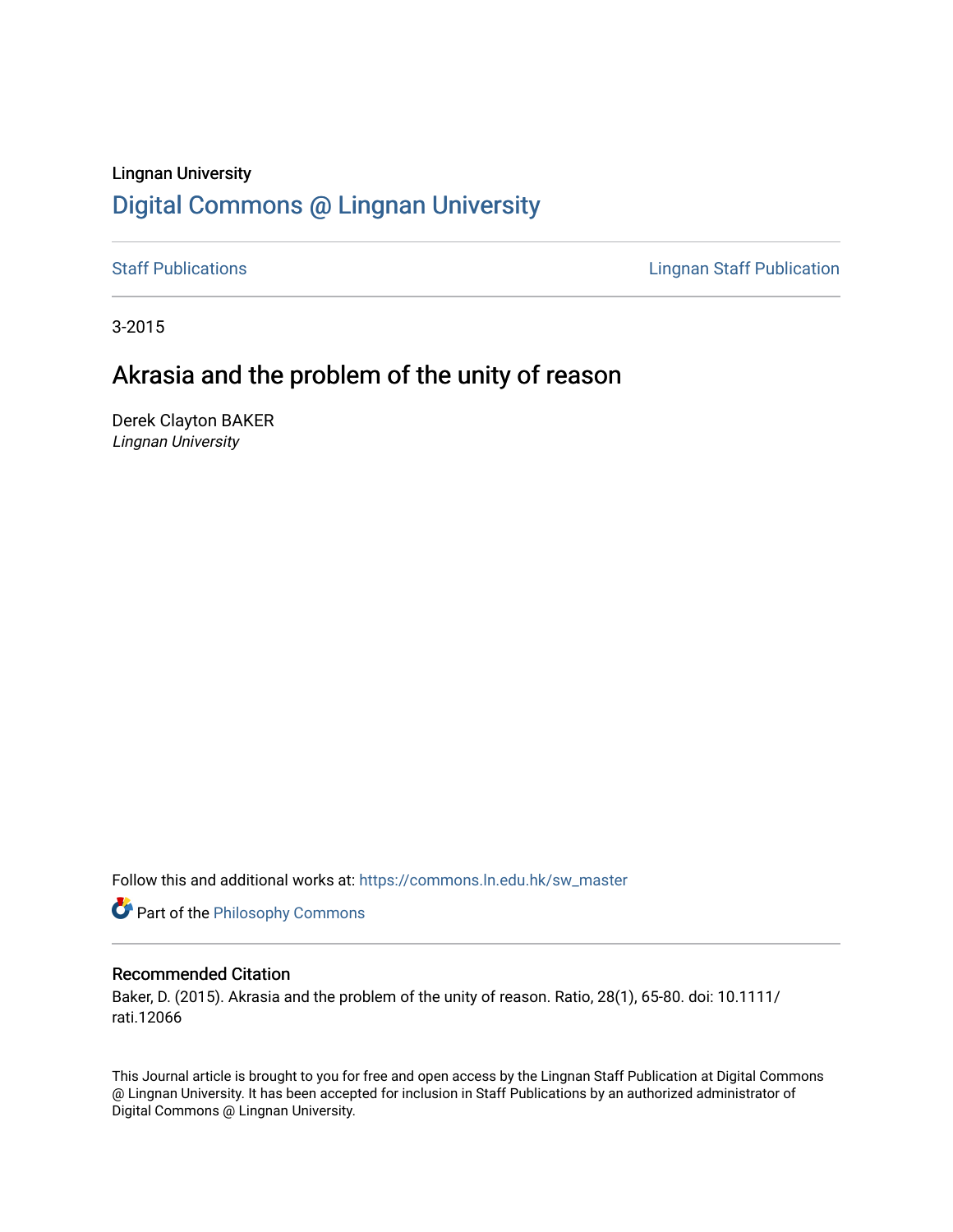# Lingnan University [Digital Commons @ Lingnan University](https://commons.ln.edu.hk/)

[Staff Publications](https://commons.ln.edu.hk/sw_master) **Staff Publications Lingnan Staff Publication** 

3-2015

# Akrasia and the problem of the unity of reason

Derek Clayton BAKER Lingnan University

Follow this and additional works at: [https://commons.ln.edu.hk/sw\\_master](https://commons.ln.edu.hk/sw_master?utm_source=commons.ln.edu.hk%2Fsw_master%2F3021&utm_medium=PDF&utm_campaign=PDFCoverPages) 

Part of the [Philosophy Commons](http://network.bepress.com/hgg/discipline/525?utm_source=commons.ln.edu.hk%2Fsw_master%2F3021&utm_medium=PDF&utm_campaign=PDFCoverPages) 

## Recommended Citation

Baker, D. (2015). Akrasia and the problem of the unity of reason. Ratio, 28(1), 65-80. doi: 10.1111/ rati.12066

This Journal article is brought to you for free and open access by the Lingnan Staff Publication at Digital Commons @ Lingnan University. It has been accepted for inclusion in Staff Publications by an authorized administrator of Digital Commons @ Lingnan University.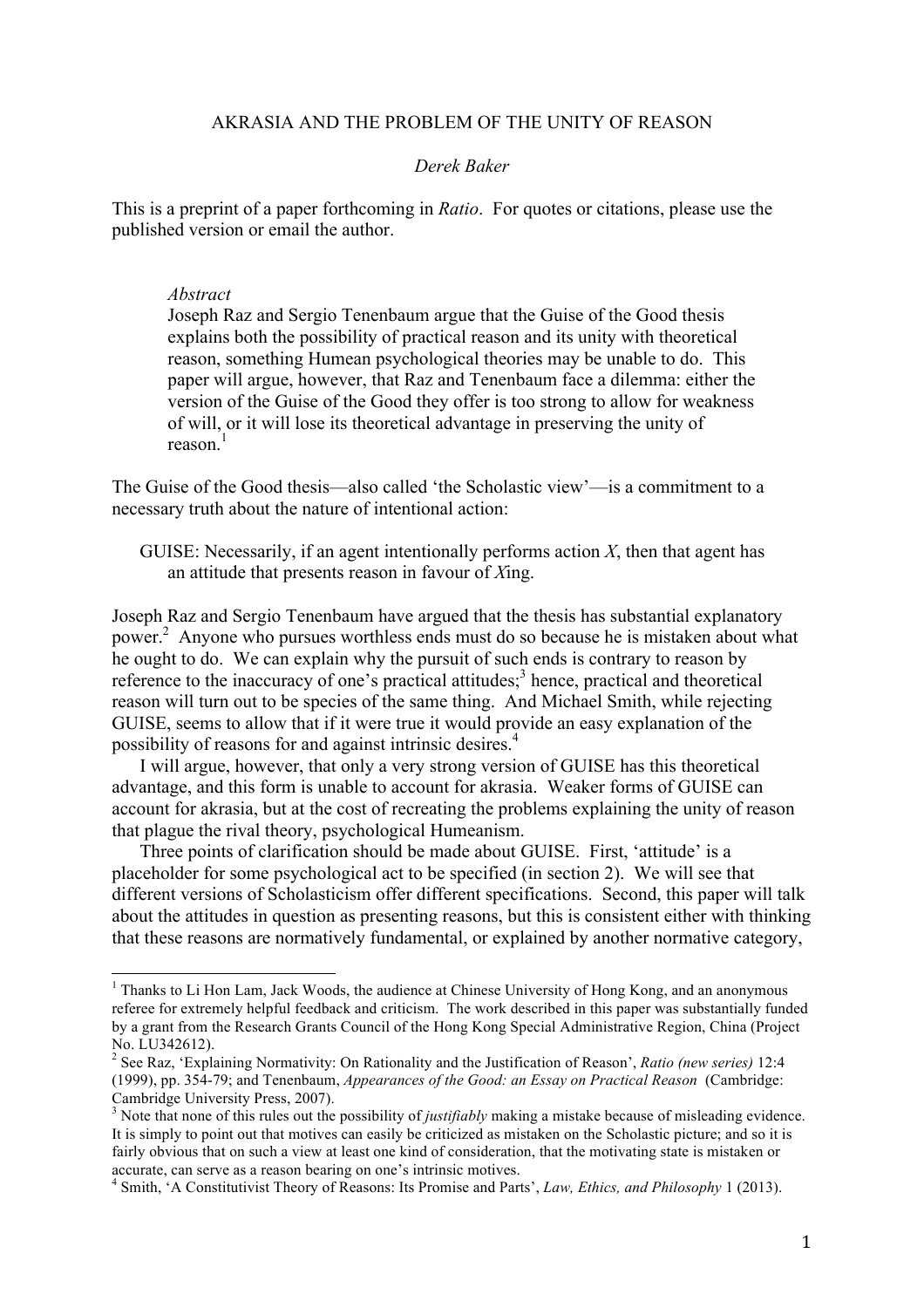### AKRASIA AND THE PROBLEM OF THE UNITY OF REASON

## *Derek Baker*

This is a preprint of a paper forthcoming in *Ratio*. For quotes or citations, please use the published version or email the author.

### *Abstract*

Joseph Raz and Sergio Tenenbaum argue that the Guise of the Good thesis explains both the possibility of practical reason and its unity with theoretical reason, something Humean psychological theories may be unable to do. This paper will argue, however, that Raz and Tenenbaum face a dilemma: either the version of the Guise of the Good they offer is too strong to allow for weakness of will, or it will lose its theoretical advantage in preserving the unity of reason. $<sup>1</sup>$ </sup>

The Guise of the Good thesis—also called 'the Scholastic view'—is a commitment to a necessary truth about the nature of intentional action:

Joseph Raz and Sergio Tenenbaum have argued that the thesis has substantial explanatory power.<sup>2</sup> Anyone who pursues worthless ends must do so because he is mistaken about what he ought to do. We can explain why the pursuit of such ends is contrary to reason by reference to the inaccuracy of one's practical attitudes;<sup>3</sup> hence, practical and theoretical reason will turn out to be species of the same thing. And Michael Smith, while rejecting GUISE, seems to allow that if it were true it would provide an easy explanation of the possibility of reasons for and against intrinsic desires.<sup>4</sup>

I will argue, however, that only a very strong version of GUISE has this theoretical advantage, and this form is unable to account for akrasia. Weaker forms of GUISE can account for akrasia, but at the cost of recreating the problems explaining the unity of reason that plague the rival theory, psychological Humeanism.

Three points of clarification should be made about GUISE. First, 'attitude' is a placeholder for some psychological act to be specified (in section 2). We will see that different versions of Scholasticism offer different specifications. Second, this paper will talk about the attitudes in question as presenting reasons, but this is consistent either with thinking that these reasons are normatively fundamental, or explained by another normative category,

GUISE: Necessarily, if an agent intentionally performs action *X*, then that agent has an attitude that presents reason in favour of *X*ing.

 $<sup>1</sup>$  Thanks to Li Hon Lam, Jack Woods, the audience at Chinese University of Hong Kong, and an anonymous</sup> referee for extremely helpful feedback and criticism. The work described in this paper was substantially funded by a grant from the Research Grants Council of the Hong Kong Special Administrative Region, China (Project No. LU342612). <sup>2</sup> See Raz, 'Explaining Normativity: On Rationality and the Justification of Reason', *Ratio (new series)* 12:4

<sup>(1999),</sup> pp. 354-79; and Tenenbaum, *Appearances of the Good: an Essay on Practical Reason* (Cambridge: Cambridge University Press, 2007).

<sup>&</sup>lt;sup>3</sup> Note that none of this rules out the possibility of *justifiably* making a mistake because of misleading evidence. It is simply to point out that motives can easily be criticized as mistaken on the Scholastic picture; and so it is fairly obvious that on such a view at least one kind of consideration, that the motivating state is mistaken or accurate, can serve as a reason bearing on one's intrinsic motives.

<sup>4</sup> Smith, 'A Constitutivist Theory of Reasons: Its Promise and Parts', *Law, Ethics, and Philosophy* 1 (2013).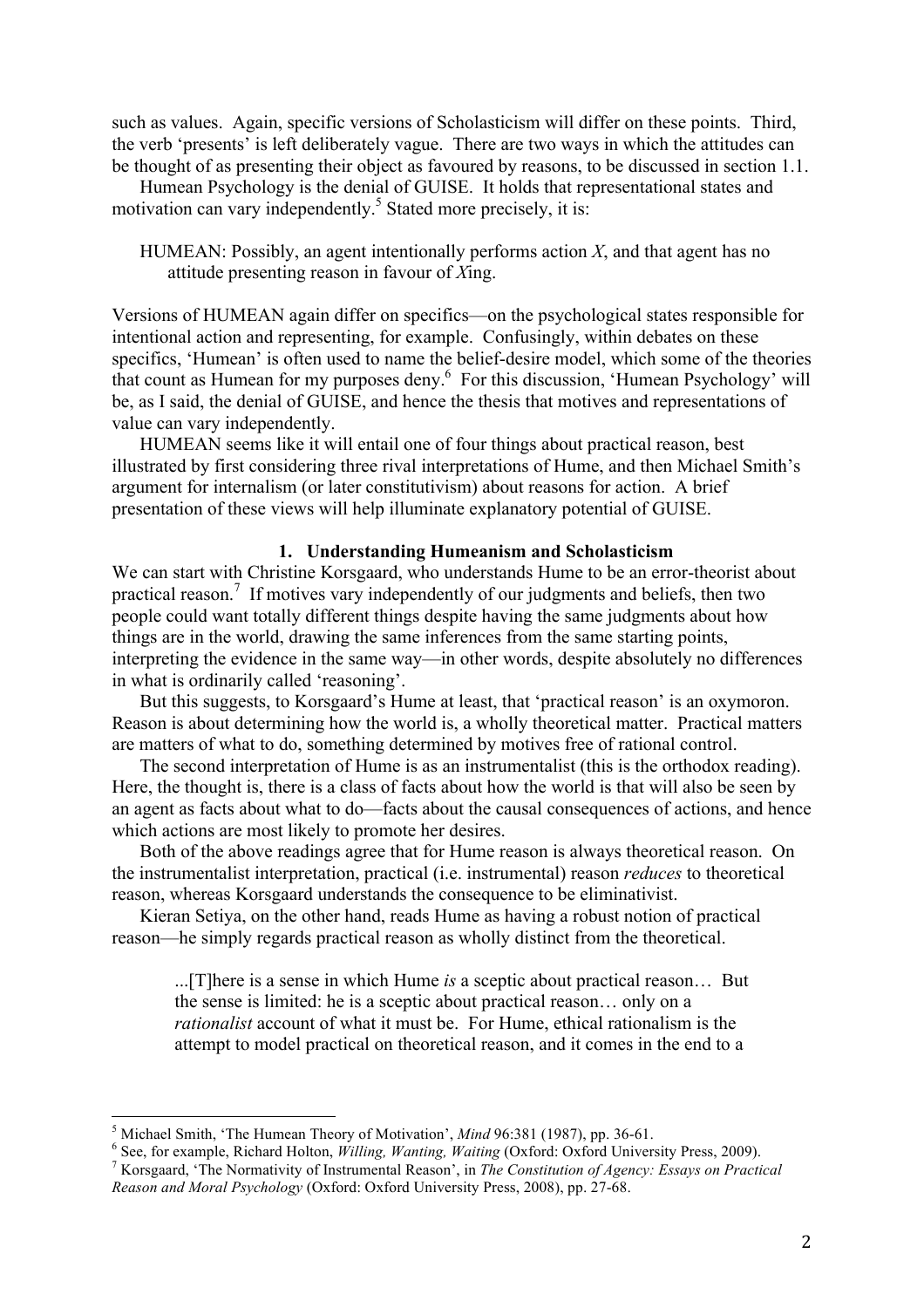such as values. Again, specific versions of Scholasticism will differ on these points. Third, the verb 'presents' is left deliberately vague. There are two ways in which the attitudes can be thought of as presenting their object as favoured by reasons, to be discussed in section 1.1.

Humean Psychology is the denial of GUISE. It holds that representational states and motivation can vary independently.<sup>5</sup> Stated more precisely, it is:

HUMEAN: Possibly, an agent intentionally performs action *X*, and that agent has no attitude presenting reason in favour of *X*ing.

Versions of HUMEAN again differ on specifics—on the psychological states responsible for intentional action and representing, for example. Confusingly, within debates on these specifics, 'Humean' is often used to name the belief-desire model, which some of the theories that count as Humean for my purposes deny.<sup>6</sup> For this discussion, 'Humean Psychology' will be, as I said, the denial of GUISE, and hence the thesis that motives and representations of value can vary independently.

HUMEAN seems like it will entail one of four things about practical reason, best illustrated by first considering three rival interpretations of Hume, and then Michael Smith's argument for internalism (or later constitutivism) about reasons for action. A brief presentation of these views will help illuminate explanatory potential of GUISE.

## **1. Understanding Humeanism and Scholasticism**

We can start with Christine Korsgaard, who understands Hume to be an error-theorist about practical reason.<sup>7</sup> If motives vary independently of our judgments and beliefs, then two people could want totally different things despite having the same judgments about how things are in the world, drawing the same inferences from the same starting points, interpreting the evidence in the same way—in other words, despite absolutely no differences in what is ordinarily called 'reasoning'.

But this suggests, to Korsgaard's Hume at least, that 'practical reason' is an oxymoron. Reason is about determining how the world is, a wholly theoretical matter. Practical matters are matters of what to do, something determined by motives free of rational control.

The second interpretation of Hume is as an instrumentalist (this is the orthodox reading). Here, the thought is, there is a class of facts about how the world is that will also be seen by an agent as facts about what to do—facts about the causal consequences of actions, and hence which actions are most likely to promote her desires.

Both of the above readings agree that for Hume reason is always theoretical reason. On the instrumentalist interpretation, practical (i.e. instrumental) reason *reduces* to theoretical reason, whereas Korsgaard understands the consequence to be eliminativist.

Kieran Setiya, on the other hand, reads Hume as having a robust notion of practical reason—he simply regards practical reason as wholly distinct from the theoretical.

...[T]here is a sense in which Hume *is* a sceptic about practical reason… But the sense is limited: he is a sceptic about practical reason… only on a *rationalist* account of what it must be. For Hume, ethical rationalism is the attempt to model practical on theoretical reason, and it comes in the end to a

<sup>&</sup>lt;sup>5</sup> Michael Smith, 'The Humean Theory of Motivation', *Mind* 96:381 (1987), pp. 36-61.<br><sup>6</sup> See, for example, Richard Holton, *Willing, Wanting, Waiting* (Oxford: Oxford University Press, 2009).<br><sup>7</sup> Korsgaard, 'The Normati

*Reason and Moral Psychology* (Oxford: Oxford University Press, 2008), pp. 27-68.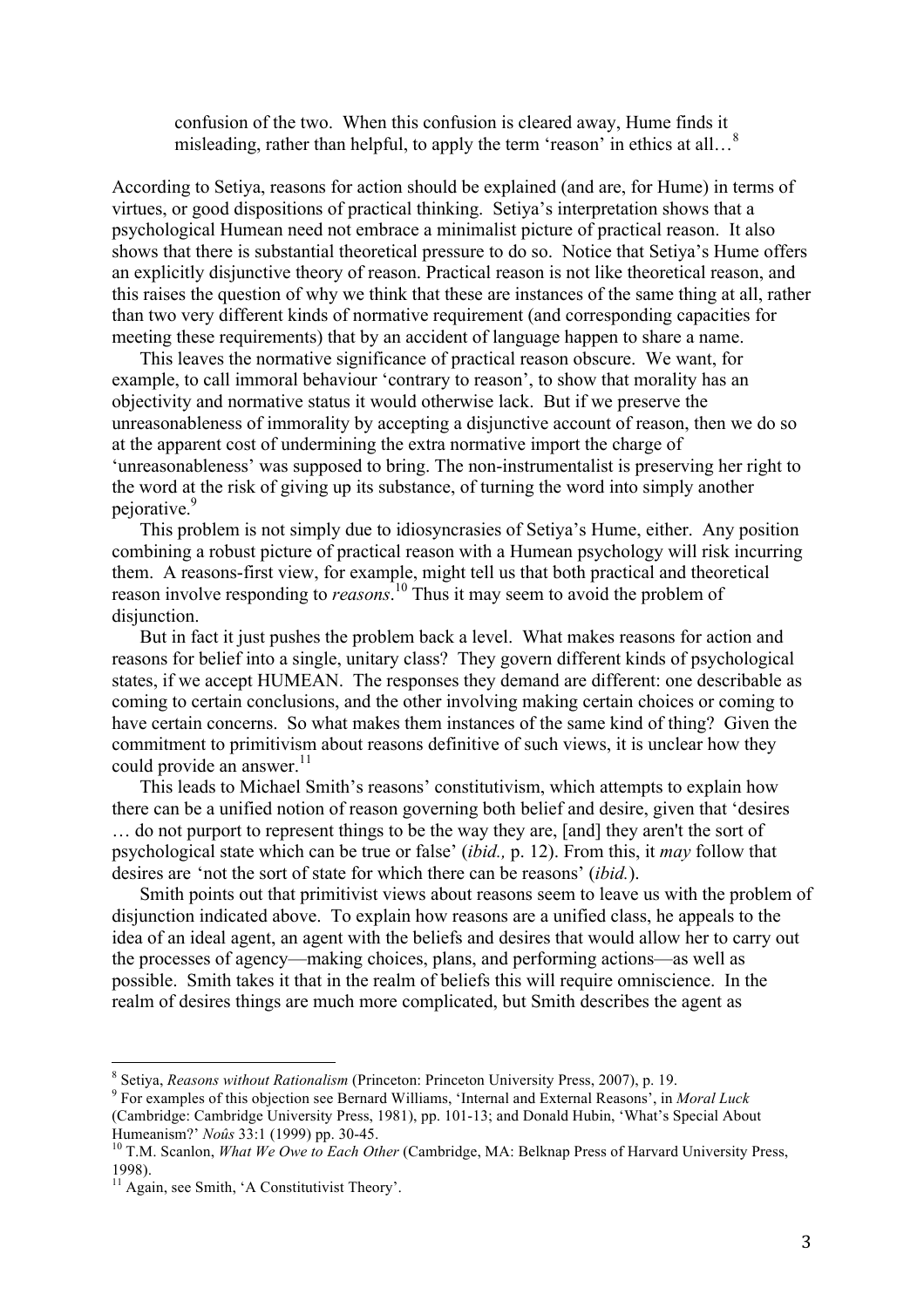confusion of the two. When this confusion is cleared away, Hume finds it misleading, rather than helpful, to apply the term 'reason' in ethics at all...<sup>8</sup>

According to Setiya, reasons for action should be explained (and are, for Hume) in terms of virtues, or good dispositions of practical thinking. Setiya's interpretation shows that a psychological Humean need not embrace a minimalist picture of practical reason. It also shows that there is substantial theoretical pressure to do so. Notice that Setiya's Hume offers an explicitly disjunctive theory of reason. Practical reason is not like theoretical reason, and this raises the question of why we think that these are instances of the same thing at all, rather than two very different kinds of normative requirement (and corresponding capacities for meeting these requirements) that by an accident of language happen to share a name.

This leaves the normative significance of practical reason obscure. We want, for example, to call immoral behaviour 'contrary to reason', to show that morality has an objectivity and normative status it would otherwise lack. But if we preserve the unreasonableness of immorality by accepting a disjunctive account of reason, then we do so at the apparent cost of undermining the extra normative import the charge of 'unreasonableness' was supposed to bring. The non-instrumentalist is preserving her right to the word at the risk of giving up its substance, of turning the word into simply another pejorative.<sup>9</sup>

This problem is not simply due to idiosyncrasies of Setiya's Hume, either. Any position combining a robust picture of practical reason with a Humean psychology will risk incurring them. A reasons-first view, for example, might tell us that both practical and theoretical reason involve responding to *reasons*. <sup>10</sup> Thus it may seem to avoid the problem of disjunction.

But in fact it just pushes the problem back a level. What makes reasons for action and reasons for belief into a single, unitary class? They govern different kinds of psychological states, if we accept HUMEAN. The responses they demand are different: one describable as coming to certain conclusions, and the other involving making certain choices or coming to have certain concerns. So what makes them instances of the same kind of thing? Given the commitment to primitivism about reasons definitive of such views, it is unclear how they could provide an answer.<sup>11</sup>

This leads to Michael Smith's reasons' constitutivism, which attempts to explain how there can be a unified notion of reason governing both belief and desire, given that 'desires … do not purport to represent things to be the way they are, [and] they aren't the sort of psychological state which can be true or false' (*ibid.,* p. 12). From this, it *may* follow that desires are 'not the sort of state for which there can be reasons' (*ibid.*).

Smith points out that primitivist views about reasons seem to leave us with the problem of disjunction indicated above. To explain how reasons are a unified class, he appeals to the idea of an ideal agent, an agent with the beliefs and desires that would allow her to carry out the processes of agency—making choices, plans, and performing actions—as well as possible. Smith takes it that in the realm of beliefs this will require omniscience. In the realm of desires things are much more complicated, but Smith describes the agent as

<sup>&</sup>lt;sup>8</sup> Setiya, *Reasons without Rationalism* (Princeton: Princeton University Press, 2007), p. 19.<br><sup>9</sup> For examples of this objection see Bernard Williams, 'Internal and External Reasons', in *Moral Luck* (Cambridge: Cambridge University Press, 1981), pp. 101-13; and Donald Hubin, 'What's Special About Humeanism?' *Noûs* 33:1 (1999) pp. 30-45.

<sup>&</sup>lt;sup>10</sup> T.M. Scanlon. *What We Owe to Each Other* (Cambridge, MA: Belknap Press of Harvard University Press, 1998).

 $11$  Again, see Smith, 'A Constitutivist Theory'.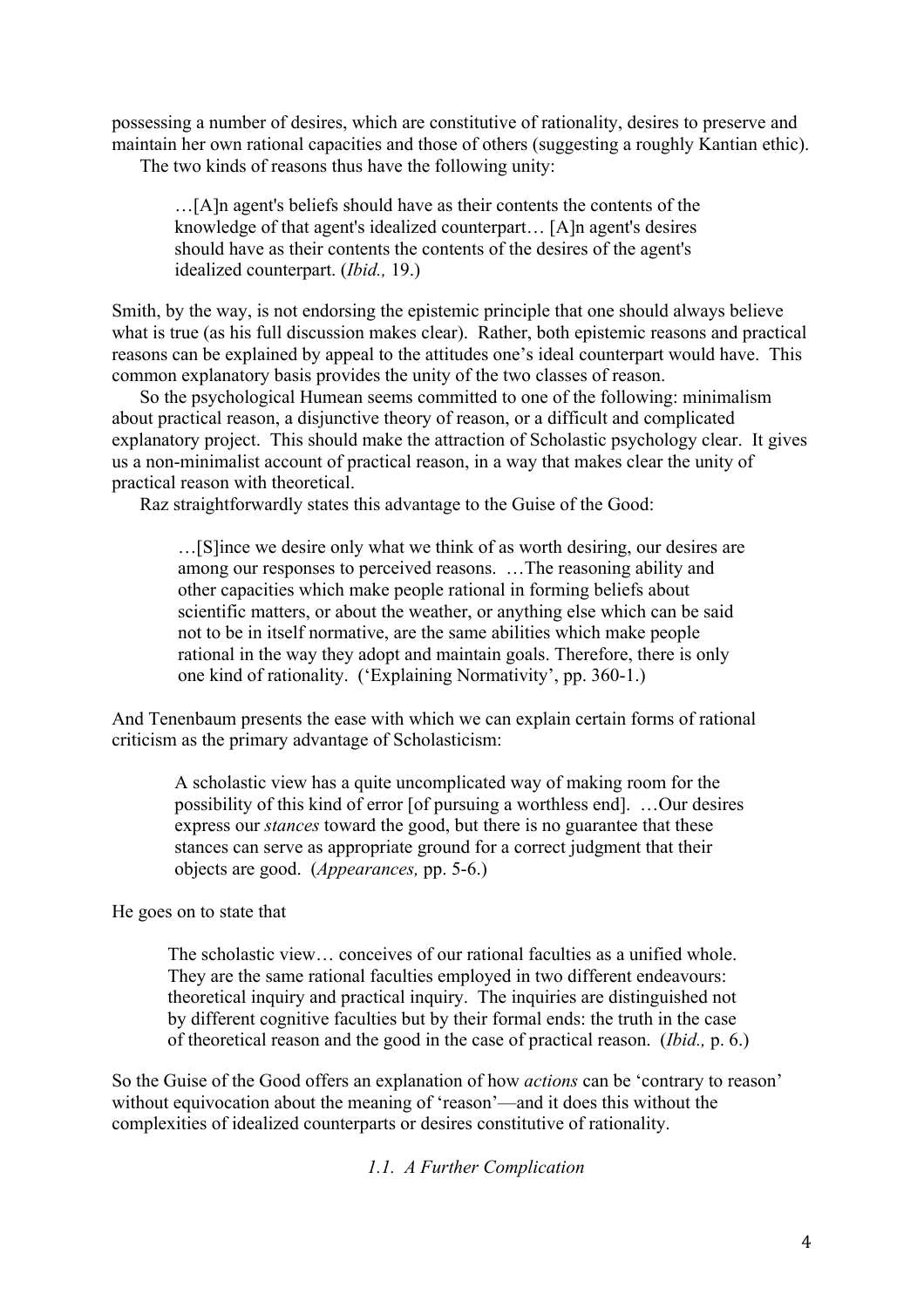possessing a number of desires, which are constitutive of rationality, desires to preserve and maintain her own rational capacities and those of others (suggesting a roughly Kantian ethic). The two kinds of reasons thus have the following unity:

…[A]n agent's beliefs should have as their contents the contents of the knowledge of that agent's idealized counterpart… [A]n agent's desires should have as their contents the contents of the desires of the agent's idealized counterpart. (*Ibid.,* 19.)

Smith, by the way, is not endorsing the epistemic principle that one should always believe what is true (as his full discussion makes clear). Rather, both epistemic reasons and practical reasons can be explained by appeal to the attitudes one's ideal counterpart would have. This common explanatory basis provides the unity of the two classes of reason.

So the psychological Humean seems committed to one of the following: minimalism about practical reason, a disjunctive theory of reason, or a difficult and complicated explanatory project. This should make the attraction of Scholastic psychology clear. It gives us a non-minimalist account of practical reason, in a way that makes clear the unity of practical reason with theoretical.

Raz straightforwardly states this advantage to the Guise of the Good:

…[S]ince we desire only what we think of as worth desiring, our desires are among our responses to perceived reasons. …The reasoning ability and other capacities which make people rational in forming beliefs about scientific matters, or about the weather, or anything else which can be said not to be in itself normative, are the same abilities which make people rational in the way they adopt and maintain goals. Therefore, there is only one kind of rationality. ('Explaining Normativity', pp. 360-1.)

And Tenenbaum presents the ease with which we can explain certain forms of rational criticism as the primary advantage of Scholasticism:

A scholastic view has a quite uncomplicated way of making room for the possibility of this kind of error [of pursuing a worthless end]. …Our desires express our *stances* toward the good, but there is no guarantee that these stances can serve as appropriate ground for a correct judgment that their objects are good. (*Appearances,* pp. 5-6.)

He goes on to state that

The scholastic view… conceives of our rational faculties as a unified whole. They are the same rational faculties employed in two different endeavours: theoretical inquiry and practical inquiry. The inquiries are distinguished not by different cognitive faculties but by their formal ends: the truth in the case of theoretical reason and the good in the case of practical reason. (*Ibid.,* p. 6.)

So the Guise of the Good offers an explanation of how *actions* can be 'contrary to reason' without equivocation about the meaning of 'reason'—and it does this without the complexities of idealized counterparts or desires constitutive of rationality.

*1.1. A Further Complication*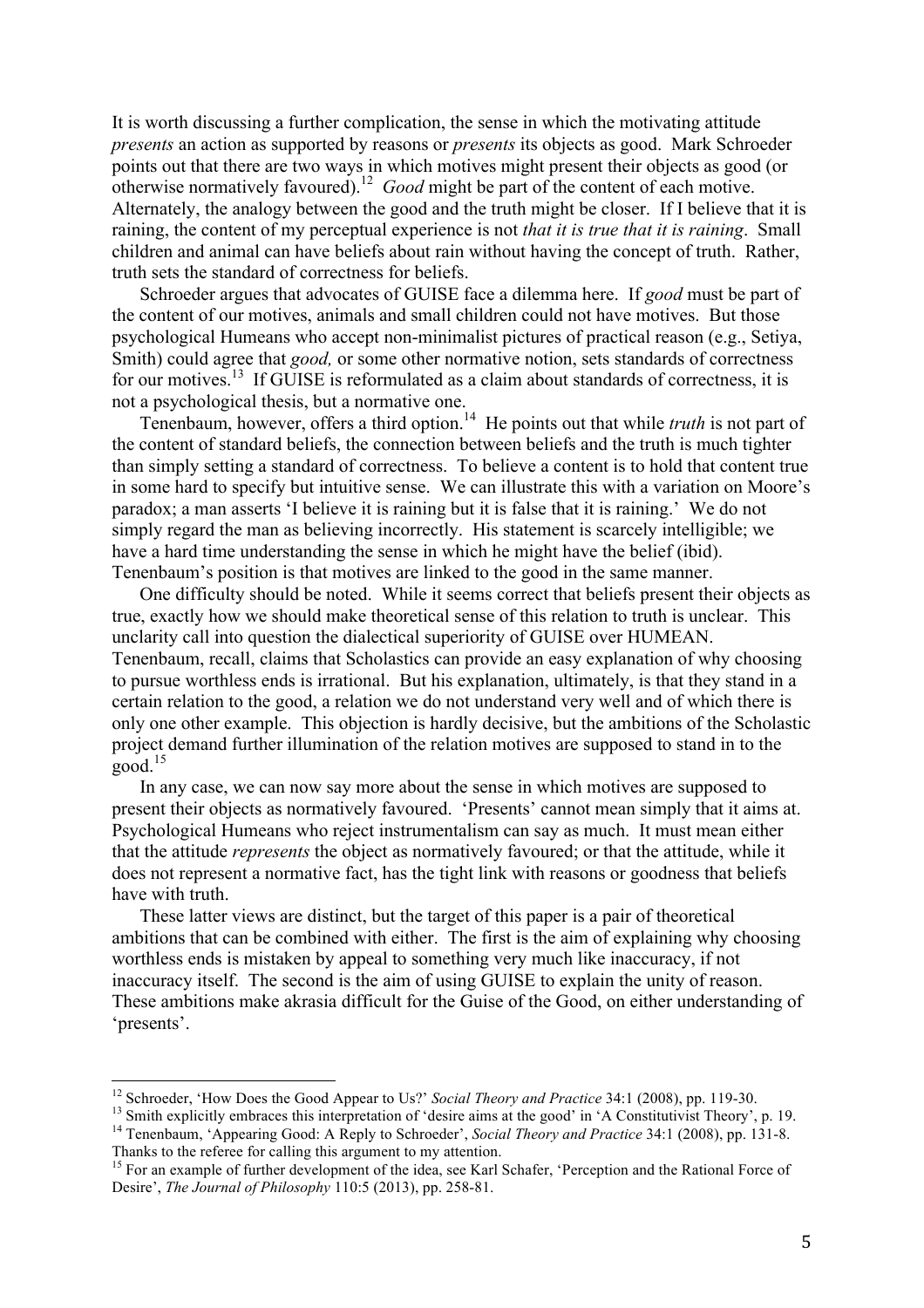It is worth discussing a further complication, the sense in which the motivating attitude *presents* an action as supported by reasons or *presents* its objects as good. Mark Schroeder points out that there are two ways in which motives might present their objects as good (or otherwise normatively favoured).12 *Good* might be part of the content of each motive. Alternately, the analogy between the good and the truth might be closer. If I believe that it is raining, the content of my perceptual experience is not *that it is true that it is raining*. Small children and animal can have beliefs about rain without having the concept of truth. Rather, truth sets the standard of correctness for beliefs.

Schroeder argues that advocates of GUISE face a dilemma here. If *good* must be part of the content of our motives, animals and small children could not have motives. But those psychological Humeans who accept non-minimalist pictures of practical reason (e.g., Setiya, Smith) could agree that *good*, or some other normative notion, sets standards of correctness for our motives.<sup>13</sup> If GUISE is reformulated as a claim about standards of correctness, it is not a psychological thesis, but a normative one.

Tenenbaum, however, offers a third option. 14 He points out that while *truth* is not part of the content of standard beliefs, the connection between beliefs and the truth is much tighter than simply setting a standard of correctness. To believe a content is to hold that content true in some hard to specify but intuitive sense. We can illustrate this with a variation on Moore's paradox; a man asserts 'I believe it is raining but it is false that it is raining.' We do not simply regard the man as believing incorrectly. His statement is scarcely intelligible; we have a hard time understanding the sense in which he might have the belief (ibid). Tenenbaum's position is that motives are linked to the good in the same manner.

One difficulty should be noted. While it seems correct that beliefs present their objects as true, exactly how we should make theoretical sense of this relation to truth is unclear. This unclarity call into question the dialectical superiority of GUISE over HUMEAN. Tenenbaum, recall, claims that Scholastics can provide an easy explanation of why choosing to pursue worthless ends is irrational. But his explanation, ultimately, is that they stand in a certain relation to the good, a relation we do not understand very well and of which there is only one other example. This objection is hardly decisive, but the ambitions of the Scholastic project demand further illumination of the relation motives are supposed to stand in to the good. 15

In any case, we can now say more about the sense in which motives are supposed to present their objects as normatively favoured. 'Presents' cannot mean simply that it aims at. Psychological Humeans who reject instrumentalism can say as much. It must mean either that the attitude *represents* the object as normatively favoured; or that the attitude, while it does not represent a normative fact, has the tight link with reasons or goodness that beliefs have with truth

These latter views are distinct, but the target of this paper is a pair of theoretical ambitions that can be combined with either. The first is the aim of explaining why choosing worthless ends is mistaken by appeal to something very much like inaccuracy, if not inaccuracy itself. The second is the aim of using GUISE to explain the unity of reason. These ambitions make akrasia difficult for the Guise of the Good, on either understanding of 'presents'.

<sup>&</sup>lt;sup>12</sup> Schroeder, 'How Does the Good Appear to Us?' Social Theory and Practice 34:1 (2008), pp. 119-30.<br><sup>13</sup> Smith explicitly embraces this interpretation of 'desire aims at the good' in 'A Constitutivist Theory', p. 19.<br><sup>1</sup> Thanks to the referee for calling this argument to my attention.

<sup>&</sup>lt;sup>15</sup> For an example of further development of the idea, see Karl Schafer, 'Perception and the Rational Force of Desire', *The Journal of Philosophy* 110:5 (2013), pp. 258-81.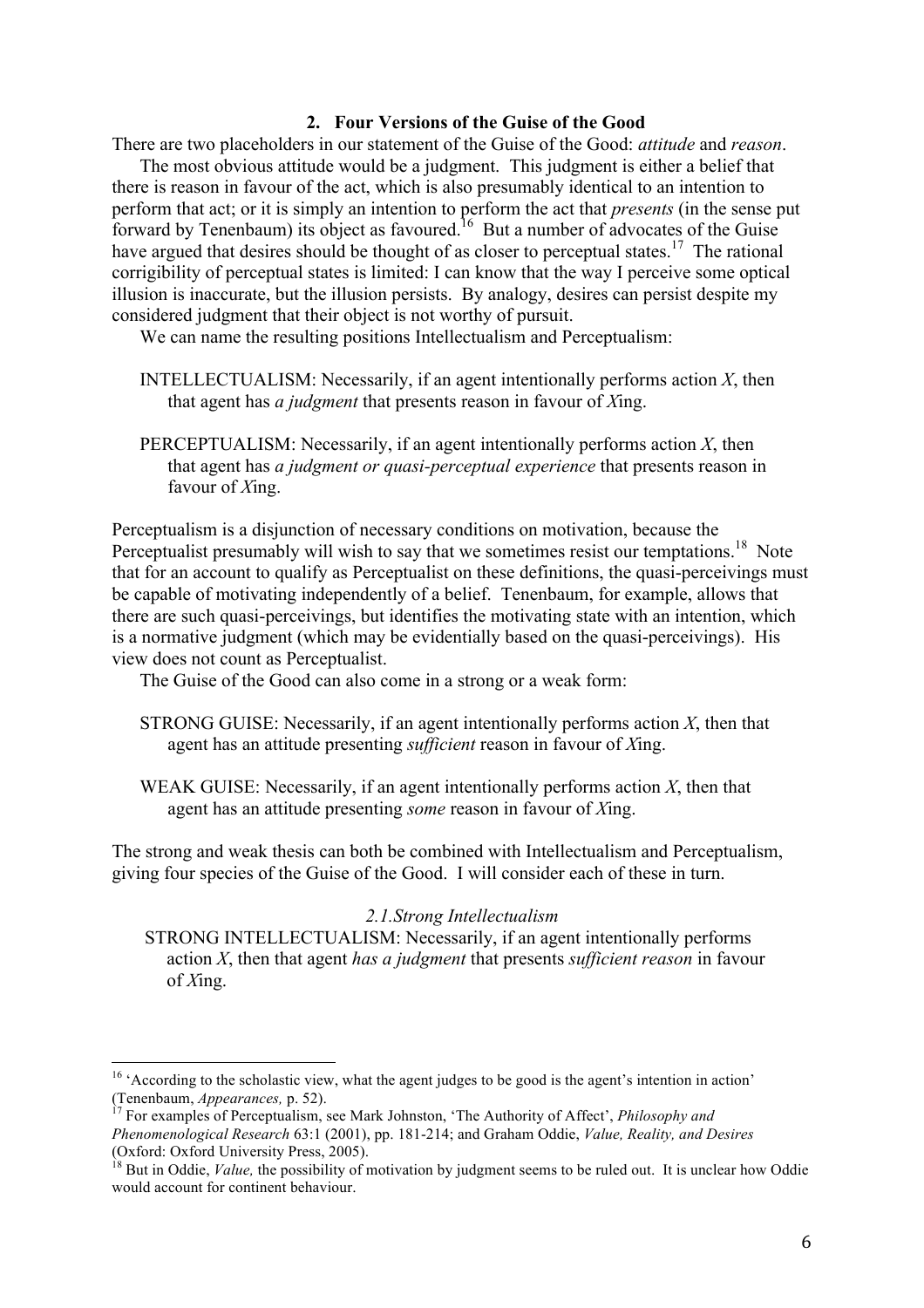## **2. Four Versions of the Guise of the Good**

There are two placeholders in our statement of the Guise of the Good: *attitude* and *reason*.

The most obvious attitude would be a judgment. This judgment is either a belief that there is reason in favour of the act, which is also presumably identical to an intention to perform that act; or it is simply an intention to perform the act that *presents* (in the sense put forward by Tenenbaum) its object as favoured.<sup>16</sup> But a number of advocates of the Guise have argued that desires should be thought of as closer to perceptual states.<sup>17</sup> The rational corrigibility of perceptual states is limited: I can know that the way I perceive some optical illusion is inaccurate, but the illusion persists. By analogy, desires can persist despite my considered judgment that their object is not worthy of pursuit.

We can name the resulting positions Intellectualism and Perceptualism:

- INTELLECTUALISM: Necessarily, if an agent intentionally performs action *X*, then that agent has *a judgment* that presents reason in favour of *X*ing.
- PERCEPTUALISM: Necessarily, if an agent intentionally performs action *X*, then that agent has *a judgment or quasi-perceptual experience* that presents reason in favour of *X*ing.

Perceptualism is a disjunction of necessary conditions on motivation, because the Perceptualist presumably will wish to say that we sometimes resist our temptations.<sup>18</sup> Note that for an account to qualify as Perceptualist on these definitions, the quasi-perceivings must be capable of motivating independently of a belief. Tenenbaum, for example, allows that there are such quasi-perceivings, but identifies the motivating state with an intention, which is a normative judgment (which may be evidentially based on the quasi-perceivings). His view does not count as Perceptualist.

The Guise of the Good can also come in a strong or a weak form:

- STRONG GUISE: Necessarily, if an agent intentionally performs action *X*, then that agent has an attitude presenting *sufficient* reason in favour of *X*ing.
- WEAK GUISE: Necessarily, if an agent intentionally performs action *X*, then that agent has an attitude presenting *some* reason in favour of *X*ing.

The strong and weak thesis can both be combined with Intellectualism and Perceptualism, giving four species of the Guise of the Good. I will consider each of these in turn.

#### *2.1.Strong Intellectualism*

STRONG INTELLECTUALISM: Necessarily, if an agent intentionally performs action *X*, then that agent *has a judgment* that presents *sufficient reason* in favour of *X*ing.

<sup>&</sup>lt;sup>16</sup> 'According to the scholastic view, what the agent judges to be good is the agent's intention in action'<br>(Tenenbaum, *Appearances*, p. 52).

For examples of Perceptualism, see Mark Johnston, 'The Authority of Affect', *Philosophy and Phenomenological Research* 63:1 (2001), pp. 181-214; and Graham Oddie, *Value, Reality, and Desires*  (Oxford: Oxford University Press, 2005).

<sup>&</sup>lt;sup>18</sup> But in Oddie, *Value*, the possibility of motivation by judgment seems to be ruled out. It is unclear how Oddie would account for continent behaviour.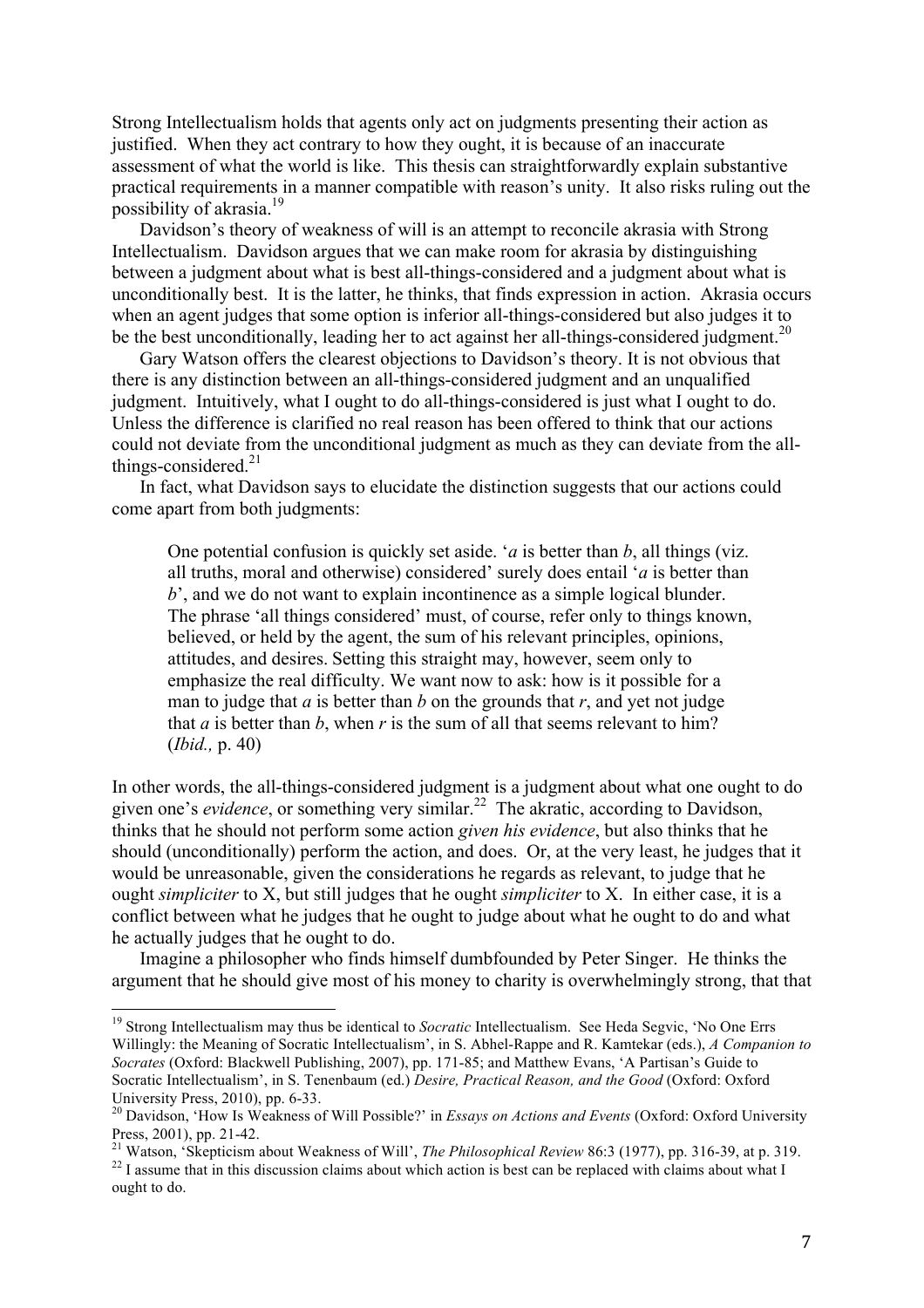Strong Intellectualism holds that agents only act on judgments presenting their action as justified. When they act contrary to how they ought, it is because of an inaccurate assessment of what the world is like. This thesis can straightforwardly explain substantive practical requirements in a manner compatible with reason's unity. It also risks ruling out the possibility of akrasia.19

Davidson's theory of weakness of will is an attempt to reconcile akrasia with Strong Intellectualism. Davidson argues that we can make room for akrasia by distinguishing between a judgment about what is best all-things-considered and a judgment about what is unconditionally best. It is the latter, he thinks, that finds expression in action. Akrasia occurs when an agent judges that some option is inferior all-things-considered but also judges it to be the best unconditionally, leading her to act against her all-things-considered judgment.<sup>20</sup>

Gary Watson offers the clearest objections to Davidson's theory. It is not obvious that there is any distinction between an all-things-considered judgment and an unqualified judgment. Intuitively, what I ought to do all-things-considered is just what I ought to do. Unless the difference is clarified no real reason has been offered to think that our actions could not deviate from the unconditional judgment as much as they can deviate from the allthings-considered. $21$ 

In fact, what Davidson says to elucidate the distinction suggests that our actions could come apart from both judgments:

One potential confusion is quickly set aside. '*a* is better than *b*, all things (viz. all truths, moral and otherwise) considered' surely does entail '*a* is better than *b*', and we do not want to explain incontinence as a simple logical blunder. The phrase 'all things considered' must, of course, refer only to things known, believed, or held by the agent, the sum of his relevant principles, opinions, attitudes, and desires. Setting this straight may, however, seem only to emphasize the real difficulty. We want now to ask: how is it possible for a man to judge that  $a$  is better than  $b$  on the grounds that  $r$ , and yet not judge that  $a$  is better than  $b$ , when  $r$  is the sum of all that seems relevant to him? (*Ibid.,* p. 40)

In other words, the all-things-considered judgment is a judgment about what one ought to do given one's *evidence*, or something very similar.<sup>22</sup> The akratic, according to Davidson, thinks that he should not perform some action *given his evidence*, but also thinks that he should (unconditionally) perform the action, and does. Or, at the very least, he judges that it would be unreasonable, given the considerations he regards as relevant, to judge that he ought *simpliciter* to X, but still judges that he ought *simpliciter* to X. In either case, it is a conflict between what he judges that he ought to judge about what he ought to do and what he actually judges that he ought to do.

Imagine a philosopher who finds himself dumbfounded by Peter Singer. He thinks the argument that he should give most of his money to charity is overwhelmingly strong, that that

<sup>&</sup>lt;sup>19</sup> Strong Intellectualism may thus be identical to *Socratic* Intellectualism. See Heda Segvic, 'No One Errs Willingly: the Meaning of Socratic Intellectualism', in S. Abhel-Rappe and R. Kamtekar (eds.), *A Companion to Socrates* (Oxford: Blackwell Publishing, 2007), pp. 171-85; and Matthew Evans, 'A Partisan's Guide to Socratic Intellectualism', in S. Tenenbaum (ed.) *Desire, Practical Reason, and the Good* (Oxford: Oxford

University Press, 2010), pp. 6-33.<br><sup>20</sup> Davidson, 'How Is Weakness of Will Possible?' in *Essays on Actions and Events* (Oxford: Oxford University Press. 2001). pp. 21-42.

<sup>21</sup> Watson, 'Skepticism about Weakness of Will', *The Philosophical Review* 86:3 (1977), pp. 316-39, at p. 319.<br><sup>22</sup> I assume that in this discussion claims about which action is best can be replaced with claims about what ought to do.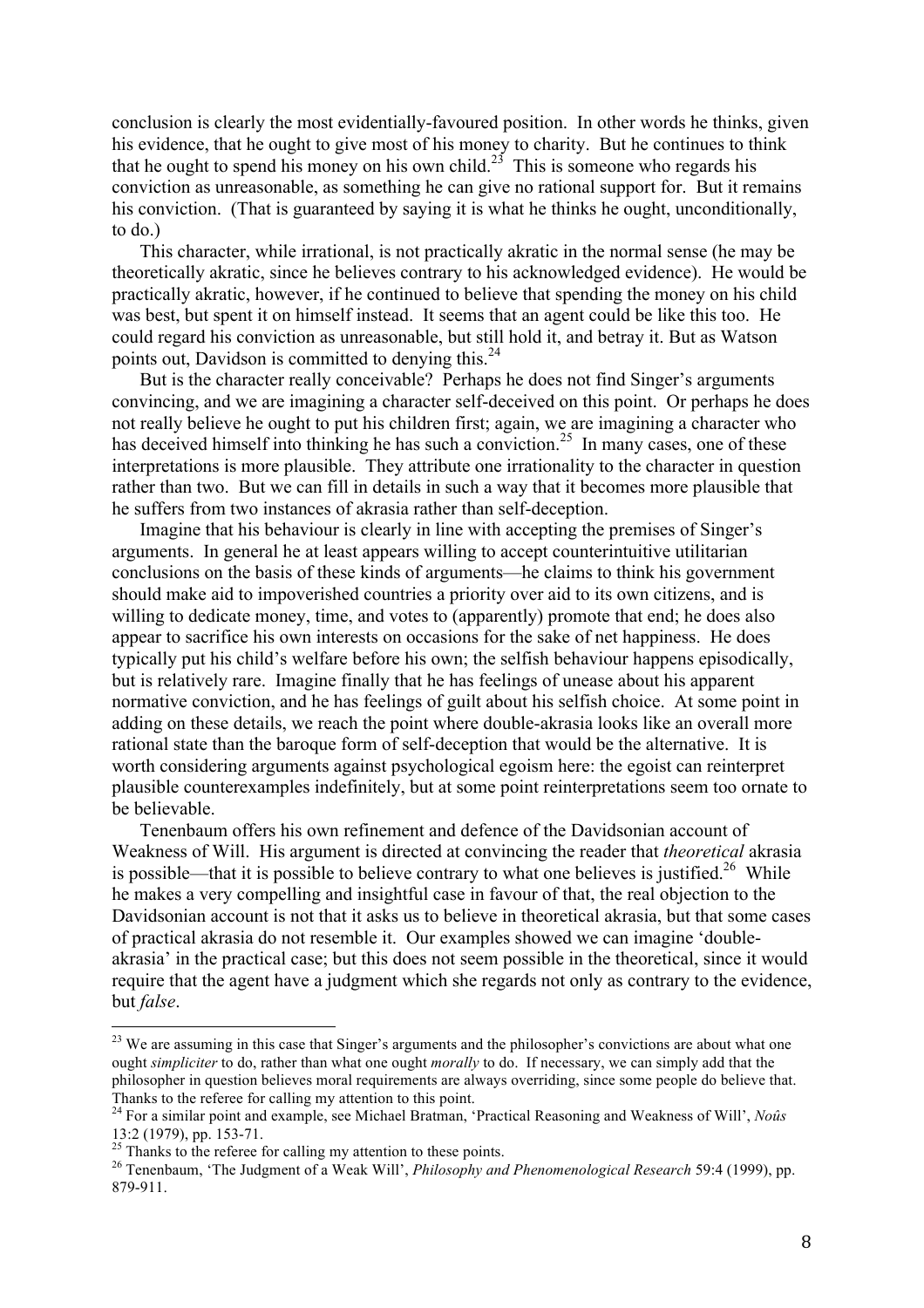conclusion is clearly the most evidentially-favoured position. In other words he thinks, given his evidence, that he ought to give most of his money to charity. But he continues to think that he ought to spend his money on his own child.<sup>23</sup> This is someone who regards his conviction as unreasonable, as something he can give no rational support for. But it remains his conviction. (That is guaranteed by saying it is what he thinks he ought, unconditionally, to do.)

This character, while irrational, is not practically akratic in the normal sense (he may be theoretically akratic, since he believes contrary to his acknowledged evidence). He would be practically akratic, however, if he continued to believe that spending the money on his child was best, but spent it on himself instead. It seems that an agent could be like this too. He could regard his conviction as unreasonable, but still hold it, and betray it. But as Watson points out, Davidson is committed to denying this.<sup>24</sup>

But is the character really conceivable? Perhaps he does not find Singer's arguments convincing, and we are imagining a character self-deceived on this point. Or perhaps he does not really believe he ought to put his children first; again, we are imagining a character who has deceived himself into thinking he has such a conviction.<sup>25</sup> In many cases, one of these interpretations is more plausible. They attribute one irrationality to the character in question rather than two. But we can fill in details in such a way that it becomes more plausible that he suffers from two instances of akrasia rather than self-deception.

Imagine that his behaviour is clearly in line with accepting the premises of Singer's arguments. In general he at least appears willing to accept counterintuitive utilitarian conclusions on the basis of these kinds of arguments—he claims to think his government should make aid to impoverished countries a priority over aid to its own citizens, and is willing to dedicate money, time, and votes to (apparently) promote that end; he does also appear to sacrifice his own interests on occasions for the sake of net happiness. He does typically put his child's welfare before his own; the selfish behaviour happens episodically, but is relatively rare. Imagine finally that he has feelings of unease about his apparent normative conviction, and he has feelings of guilt about his selfish choice. At some point in adding on these details, we reach the point where double-akrasia looks like an overall more rational state than the baroque form of self-deception that would be the alternative. It is worth considering arguments against psychological egoism here: the egoist can reinterpret plausible counterexamples indefinitely, but at some point reinterpretations seem too ornate to be believable.

Tenenbaum offers his own refinement and defence of the Davidsonian account of Weakness of Will. His argument is directed at convincing the reader that *theoretical* akrasia is possible—that it is possible to believe contrary to what one believes is justified.<sup>26</sup> While he makes a very compelling and insightful case in favour of that, the real objection to the Davidsonian account is not that it asks us to believe in theoretical akrasia, but that some cases of practical akrasia do not resemble it. Our examples showed we can imagine 'doubleakrasia' in the practical case; but this does not seem possible in the theoretical, since it would require that the agent have a judgment which she regards not only as contrary to the evidence, but *false*.

<sup>&</sup>lt;sup>23</sup> We are assuming in this case that Singer's arguments and the philosopher's convictions are about what one ought *simpliciter* to do, rather than what one ought *morally* to do. If necessary, we can simply add that the philosopher in question believes moral requirements are always overriding, since some people do believe that. Thanks to the referee for calling my attention to this point.

<sup>24</sup> For a similar point and example, see Michael Bratman, 'Practical Reasoning and Weakness of Will', *Noûs* 

<sup>13:2 (1979),</sup> pp. 153-71. <sup>25</sup> Thanks to the referee for calling my attention to these points. <sup>26</sup> Tenenbaum, 'The Judgment of a Weak Will', *Philosophy and Phenomenological Research* 59:4 (1999), pp. 879-911.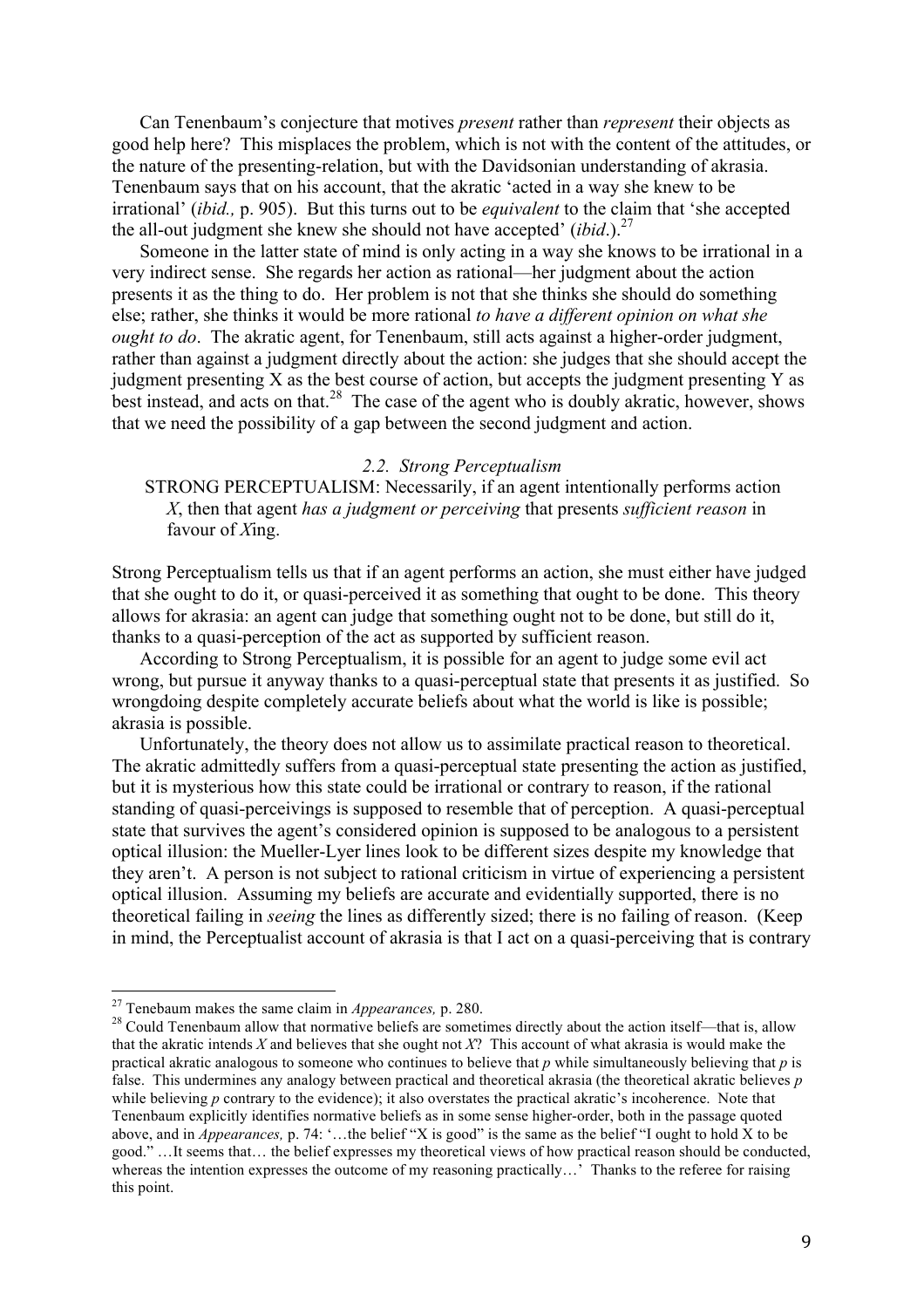Can Tenenbaum's conjecture that motives *present* rather than *represent* their objects as good help here? This misplaces the problem, which is not with the content of the attitudes, or the nature of the presenting-relation, but with the Davidsonian understanding of akrasia. Tenenbaum says that on his account, that the akratic 'acted in a way she knew to be irrational' (*ibid.,* p. 905). But this turns out to be *equivalent* to the claim that 'she accepted the all-out judgment she knew she should not have accepted'  $(ibid.)$ <sup>27</sup>

Someone in the latter state of mind is only acting in a way she knows to be irrational in a very indirect sense. She regards her action as rational—her judgment about the action presents it as the thing to do. Her problem is not that she thinks she should do something else; rather, she thinks it would be more rational *to have a different opinion on what she ought to do*. The akratic agent, for Tenenbaum, still acts against a higher-order judgment, rather than against a judgment directly about the action: she judges that she should accept the judgment presenting X as the best course of action, but accepts the judgment presenting Y as best instead, and acts on that.<sup>28</sup> The case of the agent who is doubly akratic, however, shows that we need the possibility of a gap between the second judgment and action.

### *2.2. Strong Perceptualism*

STRONG PERCEPTUALISM: Necessarily, if an agent intentionally performs action *X*, then that agent *has a judgment or perceiving* that presents *sufficient reason* in favour of *X*ing.

Strong Perceptualism tells us that if an agent performs an action, she must either have judged that she ought to do it, or quasi-perceived it as something that ought to be done. This theory allows for akrasia: an agent can judge that something ought not to be done, but still do it, thanks to a quasi-perception of the act as supported by sufficient reason.

According to Strong Perceptualism, it is possible for an agent to judge some evil act wrong, but pursue it anyway thanks to a quasi-perceptual state that presents it as justified. So wrongdoing despite completely accurate beliefs about what the world is like is possible; akrasia is possible.

Unfortunately, the theory does not allow us to assimilate practical reason to theoretical. The akratic admittedly suffers from a quasi-perceptual state presenting the action as justified, but it is mysterious how this state could be irrational or contrary to reason, if the rational standing of quasi-perceivings is supposed to resemble that of perception. A quasi-perceptual state that survives the agent's considered opinion is supposed to be analogous to a persistent optical illusion: the Mueller-Lyer lines look to be different sizes despite my knowledge that they aren't. A person is not subject to rational criticism in virtue of experiencing a persistent optical illusion. Assuming my beliefs are accurate and evidentially supported, there is no theoretical failing in *seeing* the lines as differently sized; there is no failing of reason. (Keep in mind, the Perceptualist account of akrasia is that I act on a quasi-perceiving that is contrary

<sup>&</sup>lt;sup>27</sup> Tenebaum makes the same claim in *Appearances*, p. 280.<br><sup>28</sup> Could Tenenbaum allow that normative beliefs are sometimes directly about the action itself—that is, allow that the akratic intends *X* and believes that she ought not *X*? This account of what akrasia is would make the practical akratic analogous to someone who continues to believe that *p* while simultaneously believing that *p* is false. This undermines any analogy between practical and theoretical akrasia (the theoretical akratic believes *p*  while believing *p* contrary to the evidence); it also overstates the practical akratic's incoherence. Note that Tenenbaum explicitly identifies normative beliefs as in some sense higher-order, both in the passage quoted above, and in *Appearances,* p. 74: '…the belief "X is good" is the same as the belief "I ought to hold X to be good." …It seems that… the belief expresses my theoretical views of how practical reason should be conducted, whereas the intention expresses the outcome of my reasoning practically…' Thanks to the referee for raising this point.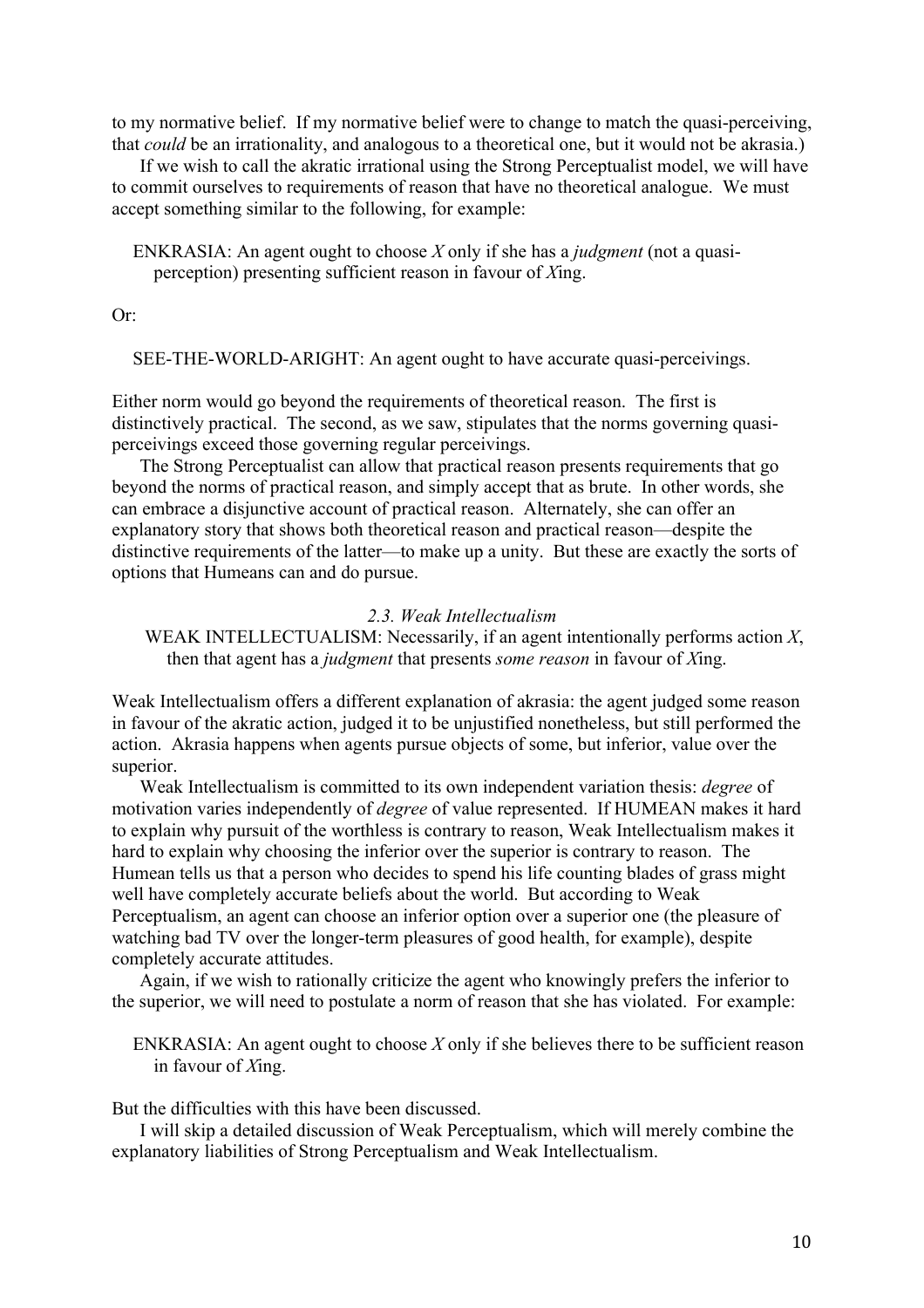to my normative belief. If my normative belief were to change to match the quasi-perceiving, that *could* be an irrationality, and analogous to a theoretical one, but it would not be akrasia.)

If we wish to call the akratic irrational using the Strong Perceptualist model, we will have to commit ourselves to requirements of reason that have no theoretical analogue. We must accept something similar to the following, for example:

ENKRASIA: An agent ought to choose *X* only if she has a *judgment* (not a quasiperception) presenting sufficient reason in favour of *X*ing.

## Or:

SEE-THE-WORLD-ARIGHT: An agent ought to have accurate quasi-perceivings.

Either norm would go beyond the requirements of theoretical reason. The first is distinctively practical. The second, as we saw, stipulates that the norms governing quasiperceivings exceed those governing regular perceivings.

The Strong Perceptualist can allow that practical reason presents requirements that go beyond the norms of practical reason, and simply accept that as brute. In other words, she can embrace a disjunctive account of practical reason. Alternately, she can offer an explanatory story that shows both theoretical reason and practical reason—despite the distinctive requirements of the latter—to make up a unity. But these are exactly the sorts of options that Humeans can and do pursue.

#### *2.3. Weak Intellectualism*

WEAK INTELLECTUALISM: Necessarily, if an agent intentionally performs action *X*, then that agent has a *judgment* that presents *some reason* in favour of *X*ing.

Weak Intellectualism offers a different explanation of akrasia: the agent judged some reason in favour of the akratic action, judged it to be unjustified nonetheless, but still performed the action. Akrasia happens when agents pursue objects of some, but inferior, value over the superior.

Weak Intellectualism is committed to its own independent variation thesis: *degree* of motivation varies independently of *degree* of value represented. If HUMEAN makes it hard to explain why pursuit of the worthless is contrary to reason, Weak Intellectualism makes it hard to explain why choosing the inferior over the superior is contrary to reason. The Humean tells us that a person who decides to spend his life counting blades of grass might well have completely accurate beliefs about the world. But according to Weak Perceptualism, an agent can choose an inferior option over a superior one (the pleasure of watching bad TV over the longer-term pleasures of good health, for example), despite completely accurate attitudes.

Again, if we wish to rationally criticize the agent who knowingly prefers the inferior to the superior, we will need to postulate a norm of reason that she has violated. For example:

ENKRASIA: An agent ought to choose *X* only if she believes there to be sufficient reason in favour of *X*ing.

But the difficulties with this have been discussed.

I will skip a detailed discussion of Weak Perceptualism, which will merely combine the explanatory liabilities of Strong Perceptualism and Weak Intellectualism.